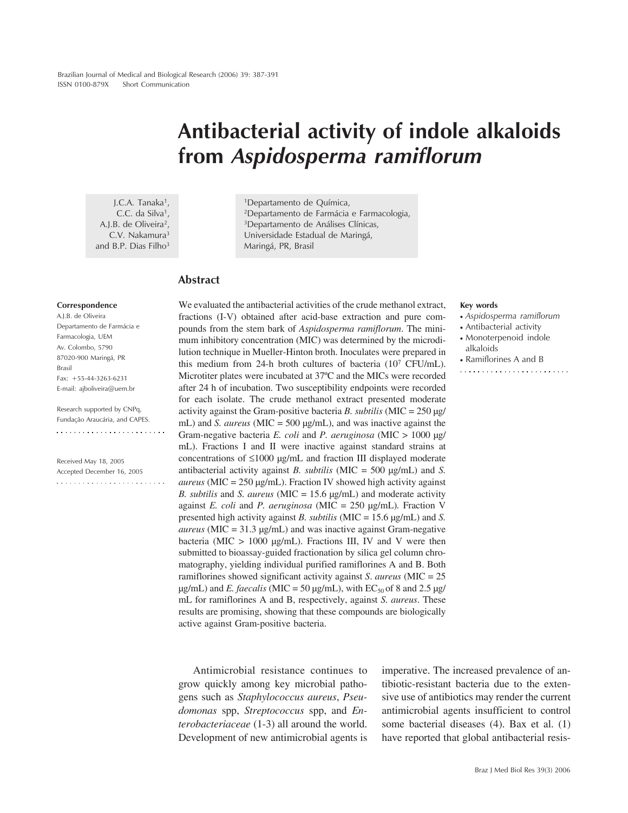# **Antibacterial activity of indole alkaloids from** *Aspidosperma ramiflorum*

J.C.A. Tanaka<sup>1</sup>, C.C. da Silva<sup>1</sup>, A.J.B. de Oliveira<sup>2</sup>, C.V. Nakamura3 and B.P. Dias Filho<sup>3</sup>

1Departamento de Química, 2Departamento de Farmácia e Farmacologia, 3Departamento de Análises Clínicas, Universidade Estadual de Maringá, Maringá, PR, Brasil

## **Abstract**

#### **Correspondence**

A.J.B. de Oliveira Departamento de Farmácia e Farmacologia, UEM Av. Colombo, 5790 87020-900 Maringá, PR Brasil Fax: +55-44-3263-6231 E-mail: ajboliveira@uem.br

Research supported by CNPq, Fundação Araucária, and CAPES. 

Received May 18, 2005 Accepted December 16, 2005 

We evaluated the antibacterial activities of the crude methanol extract, fractions (I-V) obtained after acid-base extraction and pure compounds from the stem bark of *Aspidosperma ramiflorum*. The minimum inhibitory concentration (MIC) was determined by the microdilution technique in Mueller-Hinton broth. Inoculates were prepared in this medium from 24-h broth cultures of bacteria (107 CFU/mL). Microtiter plates were incubated at 37ºC and the MICs were recorded after 24 h of incubation. Two susceptibility endpoints were recorded for each isolate. The crude methanol extract presented moderate activity against the Gram-positive bacteria *B. subtilis* (MIC = 250 µg/ mL) and *S. aureus* (MIC = 500 µg/mL), and was inactive against the Gram-negative bacteria *E. coli* and *P. aeruginosa* (MIC > 1000 µg/ mL). Fractions I and II were inactive against standard strains at concentrations of ≤1000 µg/mL and fraction III displayed moderate antibacterial activity against *B. subtilis* (MIC = 500 µg/mL) and *S. aureus* (MIC = 250 µg/mL). Fraction IV showed high activity against *B. subtilis* and *S. aureus* (MIC = 15.6 µg/mL) and moderate activity against *E. coli* and *P. aeruginosa* (MIC = 250 µg/mL)*.* Fraction V presented high activity against *B. subtilis* (MIC = 15.6 µg/mL) and *S. aureus* (MIC = 31.3 µg/mL) and was inactive against Gram-negative bacteria (MIC  $> 1000 \text{ µg/mL}$ ). Fractions III, IV and V were then submitted to bioassay-guided fractionation by silica gel column chromatography, yielding individual purified ramiflorines A and B. Both ramiflorines showed significant activity against *S*. *aureus* (MIC = 25  $\mu$ g/mL) and *E. faecalis* (MIC = 50  $\mu$ g/mL), with EC<sub>50</sub> of 8 and 2.5  $\mu$ g/ mL for ramiflorines A and B, respectively, against *S. aureus*. These results are promising, showing that these compounds are biologically active against Gram-positive bacteria.

Antimicrobial resistance continues to grow quickly among key microbial pathogens such as *Staphylococcus aureus*, *Pseudomonas* spp, *Streptococcus* spp, and *Enterobacteriaceae* (1-3) all around the world. Development of new antimicrobial agents is imperative. The increased prevalence of antibiotic-resistant bacteria due to the extensive use of antibiotics may render the current antimicrobial agents insufficient to control some bacterial diseases (4). Bax et al. (1) have reported that global antibacterial resis-

#### **Key words**

- *Aspidosperma ramiflorum*
- Antibacterial activity
- Monoterpenoid indole alkaloids
- Ramiflorines A and B
-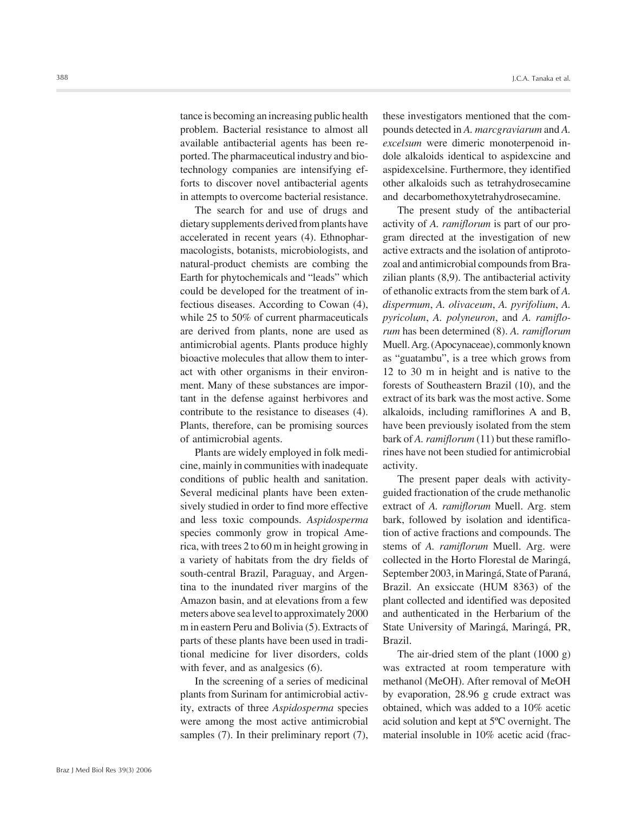tance is becoming an increasing public health problem. Bacterial resistance to almost all available antibacterial agents has been reported. The pharmaceutical industry and biotechnology companies are intensifying efforts to discover novel antibacterial agents in attempts to overcome bacterial resistance.

The search for and use of drugs and dietary supplements derived from plants have accelerated in recent years (4). Ethnopharmacologists, botanists, microbiologists, and natural-product chemists are combing the Earth for phytochemicals and "leads" which could be developed for the treatment of infectious diseases. According to Cowan (4), while 25 to 50% of current pharmaceuticals are derived from plants, none are used as antimicrobial agents. Plants produce highly bioactive molecules that allow them to interact with other organisms in their environment. Many of these substances are important in the defense against herbivores and contribute to the resistance to diseases (4). Plants, therefore, can be promising sources of antimicrobial agents.

Plants are widely employed in folk medicine, mainly in communities with inadequate conditions of public health and sanitation. Several medicinal plants have been extensively studied in order to find more effective and less toxic compounds. *Aspidosperma* species commonly grow in tropical America, with trees 2 to 60 m in height growing in a variety of habitats from the dry fields of south-central Brazil, Paraguay, and Argentina to the inundated river margins of the Amazon basin, and at elevations from a few meters above sea level to approximately 2000 m in eastern Peru and Bolivia (5). Extracts of parts of these plants have been used in traditional medicine for liver disorders, colds with fever, and as analgesics  $(6)$ .

In the screening of a series of medicinal plants from Surinam for antimicrobial activity, extracts of three *Aspidosperma* species were among the most active antimicrobial samples (7). In their preliminary report (7), these investigators mentioned that the compounds detected in *A. marcgraviarum* and *A. excelsum* were dimeric monoterpenoid indole alkaloids identical to aspidexcine and aspidexcelsine. Furthermore, they identified other alkaloids such as tetrahydrosecamine and decarbomethoxytetrahydrosecamine.

The present study of the antibacterial activity of *A. ramiflorum* is part of our program directed at the investigation of new active extracts and the isolation of antiprotozoal and antimicrobial compounds from Brazilian plants (8,9). The antibacterial activity of ethanolic extracts from the stem bark of *A. dispermum*, *A. olivaceum*, *A. pyrifolium*, *A. pyricolum*, *A. polyneuron*, and *A. ramiflorum* has been determined (8). *A. ramiflorum* Muell. Arg. (Apocynaceae), commonly known as "guatambu", is a tree which grows from 12 to 30 m in height and is native to the forests of Southeastern Brazil (10), and the extract of its bark was the most active. Some alkaloids, including ramiflorines A and B, have been previously isolated from the stem bark of *A. ramiflorum* (11) but these ramiflorines have not been studied for antimicrobial activity.

The present paper deals with activityguided fractionation of the crude methanolic extract of *A. ramiflorum* Muell. Arg. stem bark, followed by isolation and identification of active fractions and compounds. The stems of *A. ramiflorum* Muell. Arg. were collected in the Horto Florestal de Maringá, September 2003, in Maringá, State of Paraná, Brazil. An exsiccate (HUM 8363) of the plant collected and identified was deposited and authenticated in the Herbarium of the State University of Maringá, Maringá, PR, Brazil.

The air-dried stem of the plant (1000 g) was extracted at room temperature with methanol (MeOH). After removal of MeOH by evaporation, 28.96 g crude extract was obtained, which was added to a 10% acetic acid solution and kept at 5ºC overnight. The material insoluble in 10% acetic acid (frac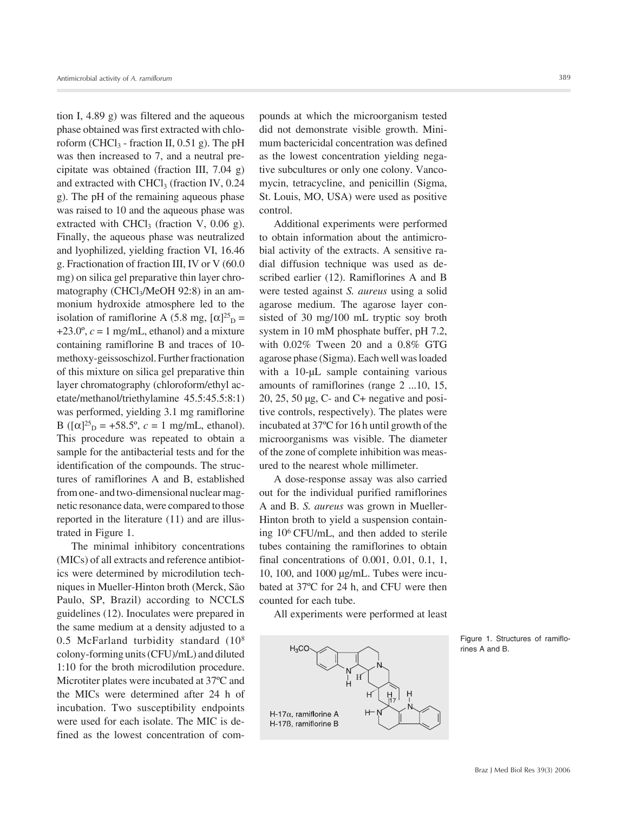tion I, 4.89 g) was filtered and the aqueous phase obtained was first extracted with chloroform (CHCl<sub>3</sub> - fraction II,  $0.51$  g). The pH was then increased to 7, and a neutral precipitate was obtained (fraction III, 7.04 g) and extracted with CHCl<sub>3</sub> (fraction IV,  $0.24$ ) g). The pH of the remaining aqueous phase was raised to 10 and the aqueous phase was extracted with CHCl<sub>3</sub> (fraction V, 0.06 g). Finally, the aqueous phase was neutralized and lyophilized, yielding fraction VI, 16.46 g. Fractionation of fraction III, IV or V (60.0 mg) on silica gel preparative thin layer chromatography (CHCl<sub>3</sub>/MeOH 92:8) in an ammonium hydroxide atmosphere led to the isolation of ramiflorine A (5.8 mg,  $[\alpha]^{25}$ <sub>D</sub> =  $+23.0^\circ$ ,  $c = 1$  mg/mL, ethanol) and a mixture containing ramiflorine B and traces of 10 methoxy-geissoschizol. Further fractionation of this mixture on silica gel preparative thin layer chromatography (chloroform/ethyl acetate/methanol/triethylamine 45.5:45.5:8:1) was performed, yielding 3.1 mg ramiflorine B ( $[\alpha]^{25}$ <sub>D</sub> = +58.5°,  $c = 1$  mg/mL, ethanol). This procedure was repeated to obtain a sample for the antibacterial tests and for the identification of the compounds. The structures of ramiflorines A and B, established from one- and two-dimensional nuclear magnetic resonance data, were compared to those reported in the literature (11) and are illustrated in Figure 1.

The minimal inhibitory concentrations (MICs) of all extracts and reference antibiotics were determined by microdilution techniques in Mueller-Hinton broth (Merck, São Paulo, SP, Brazil) according to NCCLS guidelines (12). Inoculates were prepared in the same medium at a density adjusted to a 0.5 McFarland turbidity standard (108 colony-forming units (CFU)/mL) and diluted 1:10 for the broth microdilution procedure. Microtiter plates were incubated at 37ºC and the MICs were determined after 24 h of incubation. Two susceptibility endpoints were used for each isolate. The MIC is defined as the lowest concentration of compounds at which the microorganism tested did not demonstrate visible growth. Minimum bactericidal concentration was defined as the lowest concentration yielding negative subcultures or only one colony. Vancomycin, tetracycline, and penicillin (Sigma, St. Louis, MO, USA) were used as positive control.

Additional experiments were performed to obtain information about the antimicrobial activity of the extracts. A sensitive radial diffusion technique was used as described earlier (12). Ramiflorines A and B were tested against *S. aureus* using a solid agarose medium. The agarose layer consisted of 30 mg/100 mL tryptic soy broth system in 10 mM phosphate buffer, pH 7.2, with 0.02% Tween 20 and a 0.8% GTG agarose phase (Sigma). Each well was loaded with a 10-µL sample containing various amounts of ramiflorines (range 2 ...10, 15, 20, 25, 50 µg, C- and C+ negative and positive controls, respectively). The plates were incubated at 37ºC for 16 h until growth of the microorganisms was visible. The diameter of the zone of complete inhibition was measured to the nearest whole millimeter.

A dose-response assay was also carried out for the individual purified ramiflorines A and B. *S. aureus* was grown in Mueller-Hinton broth to yield a suspension containing 106 CFU/mL, and then added to sterile tubes containing the ramiflorines to obtain final concentrations of 0.001, 0.01, 0.1, 1, 10, 100, and 1000 µg/mL. Tubes were incubated at 37ºC for 24 h, and CFU were then counted for each tube.

All experiments were performed at least



Figure 1. Structures of ramiflorines A and B.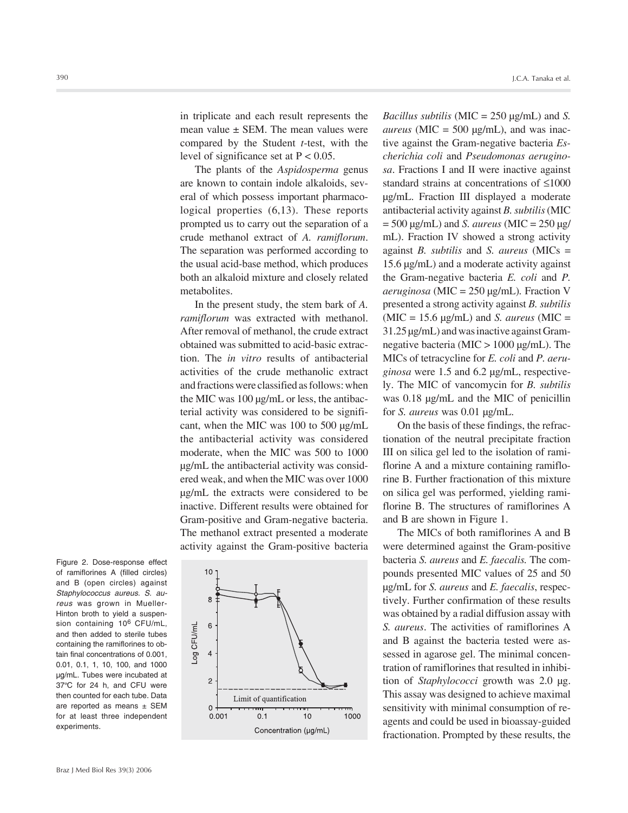The plants of the *Aspidosperma* genus are known to contain indole alkaloids, several of which possess important pharmacological properties (6,13). These reports prompted us to carry out the separation of a crude methanol extract of *A. ramiflorum*. The separation was performed according to the usual acid-base method, which produces both an alkaloid mixture and closely related metabolites.

In the present study, the stem bark of *A. ramiflorum* was extracted with methanol. After removal of methanol, the crude extract obtained was submitted to acid-basic extraction. The *in vitro* results of antibacterial activities of the crude methanolic extract and fractions were classified as follows: when the MIC was 100 µg/mL or less, the antibacterial activity was considered to be significant, when the MIC was 100 to 500 µg/mL the antibacterial activity was considered moderate, when the MIC was 500 to 1000 µg/mL the antibacterial activity was considered weak, and when the MIC was over 1000 µg/mL the extracts were considered to be inactive. Different results were obtained for Gram-positive and Gram-negative bacteria. The methanol extract presented a moderate activity against the Gram-positive bacteria

Figure 2. Dose-response effect of ramiflorines A (filled circles) and B (open circles) against *Staphylococcus aureus. S. aureus* was grown in Mueller-Hinton broth to yield a suspension containing 10<sup>6</sup> CFU/mL, and then added to sterile tubes containing the ramiflorines to obtain final concentrations of 0.001, 0.01, 0.1, 1, 10, 100, and 1000 µg/mL. Tubes were incubated at 37ºC for 24 h, and CFU were then counted for each tube. Data are reported as means  $\pm$  SEM for at least three independent experiments.



*Bacillus subtilis* (MIC = 250 µg/mL) and *S. aureus* ( $MIC = 500 \mu g/mL$ ), and was inactive against the Gram-negative bacteria *Escherichia coli* and *Pseudomonas aeruginosa*. Fractions I and II were inactive against standard strains at concentrations of ≤1000 µg/mL. Fraction III displayed a moderate antibacterial activity against *B. subtilis* (MIC = 500 µg/mL) and *S. aureus* (MIC = 250 µg/ mL). Fraction IV showed a strong activity against *B. subtilis* and *S. aureus* (MICs = 15.6 µg/mL) and a moderate activity against the Gram-negative bacteria *E. coli* and *P. aeruginosa* (MIC = 250 µg/mL)*.* Fraction V presented a strong activity against *B. subtilis*  $(MIC = 15.6 \mu g/mL)$  and *S. aureus*  $(MIC =$ 31.25 µg/mL) and was inactive against Gramnegative bacteria (MIC > 1000 µg/mL). The MICs of tetracycline for *E. coli* and *P. aeruginosa* were 1.5 and 6.2 µg/mL, respectively. The MIC of vancomycin for *B. subtilis* was 0.18 µg/mL and the MIC of penicillin for *S. aureus* was 0.01 µg/mL.

J.C.A. Tanaka et al.

On the basis of these findings, the refractionation of the neutral precipitate fraction III on silica gel led to the isolation of ramiflorine A and a mixture containing ramiflorine B. Further fractionation of this mixture on silica gel was performed, yielding ramiflorine B. The structures of ramiflorines A and B are shown in Figure 1.

The MICs of both ramiflorines A and B were determined against the Gram-positive bacteria *S. aureus* and *E. faecalis.* The compounds presented MIC values of 25 and 50 µg/mL for *S. aureus* and *E. faecalis*, respectively. Further confirmation of these results was obtained by a radial diffusion assay with *S. aureus*. The activities of ramiflorines A and B against the bacteria tested were assessed in agarose gel. The minimal concentration of ramiflorines that resulted in inhibition of *Staphylococci* growth was 2.0 µg. This assay was designed to achieve maximal sensitivity with minimal consumption of reagents and could be used in bioassay-guided fractionation. Prompted by these results, the